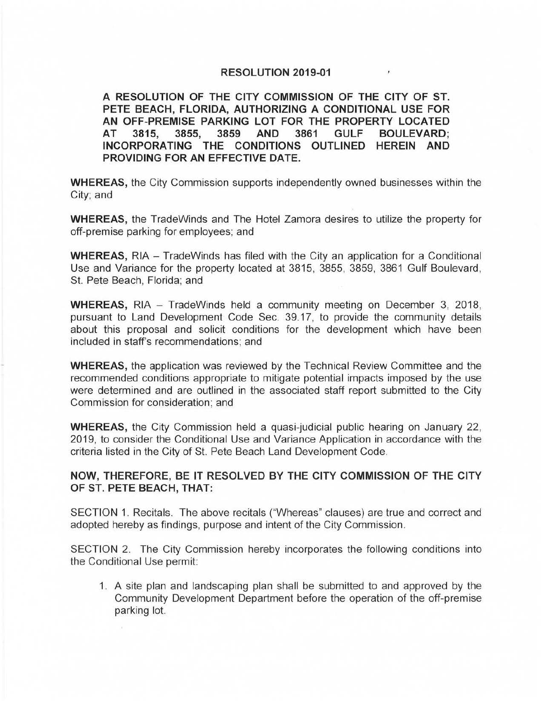## **RESOLUTION 2019-01**

**A RESOLUTION OF THE CITY COMMISSION OF THE CITY OF ST. PETE BEACH, FLORIDA, AUTHORIZING A CONDITIONAL USE FOR AN OFF-PREMISE PARKING LOT FOR THE PROPERTY LOCATED AT 3815, 3855, 3859 AND 3861 GULF BOULEVARD; INCORPORATING THE CONDITIONS OUTLINED HEREIN AND PROVIDING FOR AN EFFECTIVE DATE.** 

**WHEREAS,** the City Commission supports independently owned businesses within the City; and

**WHEREAS,** the TradeWinds and The Hotel Zamora desires to utilize the property for off-premise parking for employees; and

**WHEREAS, RIA** - TradeWinds has filed with the City an application for a Conditional Use and Variance for the property located at 3815, 3855, 3859, 3861 Gulf Boulevard, St. Pete Beach, Florida; and

**WHEREAS,** RIA - TradeWinds held a community meeting on December 3, 2018, pursuant to Land Development Code Sec. 39.17, to provide the community details about this proposal and solicit conditions for the development which have been included in staff's recommendations; and

**WHEREAS,** the application was reviewed by the Technical Review Committee and the recommended conditions appropriate to mitigate potential impacts imposed by the use were determined and are outlined in the associated staff report submitted to the City Commission for consideration; and

**WHEREAS,** the City Commission held a quasi-judicial public hearing on January 22, 2019, to consider the Conditional Use and Variance Application in accordance with the criteria listed in the City of St. Pete Beach Land Development Code.

## **NOW, THEREFORE, BE IT RESOLVED BY THE CITY COMMISSION OF THE CITY OF ST. PETE BEACH, THAT:**

SECTION 1. Recitals. The above recitals ("Whereas" clauses) are true and correct and adopted hereby as findings, purpose and intent of the City Commission.

SECTION 2. The City Commission hereby incorporates the following conditions into the Conditional Use permit:

1. A site plan and landscaping plan shall be submitted to and approved by the Community Development Department before the operation of the off-premise parking lot.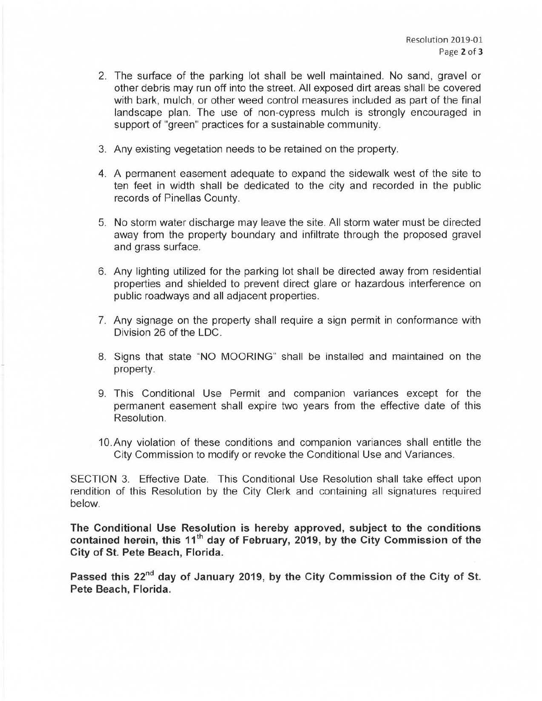- 2. The surface of the parking lot shall be well maintained. No sand, gravel or other debris may run off into the street. All exposed dirt areas shall be covered with bark, mulch, or other weed control measures included as part of the final landscape plan. The use of non-cypress mulch is strongly encouraged in support of "green" practices for a sustainable community.
- 3. Any existing vegetation needs to be retained on the property.
- 4. A permanent easement adequate to expand the sidewalk west of the site to ten feet in width shall be dedicated to the city and recorded in the public records of Pinellas County.
- 5. No storm water discharge may leave the site. All storm water must be directed away from the property boundary and infiltrate through the proposed gravel and grass surface.
- 6. Any lighting utilized for the parking lot shall be directed away from residential properties and shielded to prevent direct glare or hazardous interference on public roadways and all adjacent properties.
- 7. Any signage on the property shall require a sign permit in conformance with Division 26 of the LDC.
- 8. Signs that state "NO MOORING" shall be installed and maintained on the property.
- 9. This Conditional Use Permit and companion variances except for the permanent easement shall expire two years from the effective date of this Resolution.
- 10.Any violation of these conditions and companion variances shall entitle the City Commission to modify or revoke the Conditional Use and Variances.

SECTION 3. Effective Date. This Conditional Use Resolution shall take effect upon rendition of this Resolution by the City Clerk and containing all signatures required below.

**The Conditional Use Resolution is hereby approved, subject to the conditions**  contained herein, this 11<sup>th</sup> day of February, 2019, by the City Commission of the **City of St. Pete Beach, Florida.** 

**Passed this 22"d day of January 2019, by the City Commission of the City of St. Pete Beach, Florida.**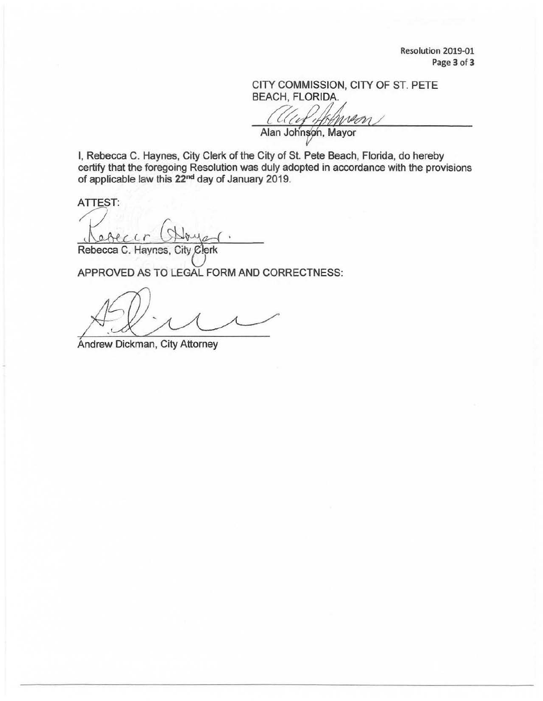Resolution 2019-01 Page 3 of 3

CITY COMMISSION, CITY OF ST. PETE BEACH, FLORIDA.

 $\mathcal{W}$ 

Alan Johnson, Mayor

I, Rebecca C. Haynes, City Clerk of the City of St. Pete Beach, Florida, do hereby certify that the foregoing Resolution was duly adopted in accordance with the provisions of applicable law this 22<sup>nd</sup> day of January 2019.

ATTEST:

Rebecca C. Haynes, City Clerk

APPROVED AS TO LEGAL FORM AND CORRECTNESS:

/4-:ff!~

Andrew Dickman, City Attorney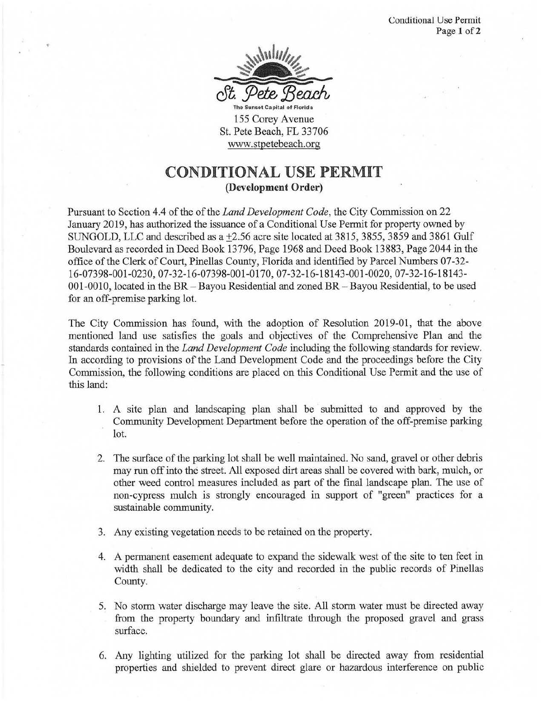

155 Corey Avenue St. Pete Beach, FL 33706 www.stpetebeach.org

## **CONDITIONAL USE PERMIT (Development Order)**

Pursuant to Section 4.4 of the of the *Land Development Code,* the City Commission on 22 January 2019, has authorized the issuance of a Conditional Use Permit for property owned by SUNGOLD, LLC and described as a  $\pm$ 2.56 acre site located at 3815, 3855, 3859 and 3861 Gulf Boulevard as recorded in Deed Book 13796, Page 1968 and Deed Book 13883, Page 2044 in the office of the Clerk of Court, Pinellas County, Florida and identified by Parcel Numbers 07-32- 16-07398-001-0230, 07-32-16-07398-001-0170, 07-32-16-18143-001-0020, 07-32-16-18143- 001-0010, located in the BR-Bayou Residential and zoned BR - Bayou Residential, to be used for an off-premise parking lot.

The City Commission has found, with the adoption of Resolution 2019-01, that the above mentioned land use satisfies the goals and objectives of the Comprehensive Plan and the standards contained in the *Land Development Code* including the following-standards for review. In according to provisions of the Land Development Code and the proceedings before the City Commission, the following conditions are placed on this Conditional Use Permit and the use of this land:

- 1. A site plan and landscaping plan shall be submitted to and approved by the Community Development Department before the operation of the off-premise parking lot.
- 2. The surface of the parking lot shall be well maintained. No sand, gravel or other debris may run off into the street. All exposed dirt areas shall be covered with bark, mulch, or other weed control measures included. as part of the final landscape plan. The use of non-cypress mulch is strongly encouraged in support of "green" practices for a sustainable community.
- 3. Any existing vegetation needs to be retained on the property.
- 4. A permanent easement adequate to expand the sidewalk west of the site to ten feet in width shall be dedicated to the city and recorded in the public records of Pinellas County.
- 5. No storm water discharge may leave the site. All storm water must be directed away from the property boundary and infiltrate through the proposed gravel and grass surface.
- 6. Any lighting utilized for the parking lot shall be directed away from residential properties and shielded to prevent direct glare or hazardous interference on public